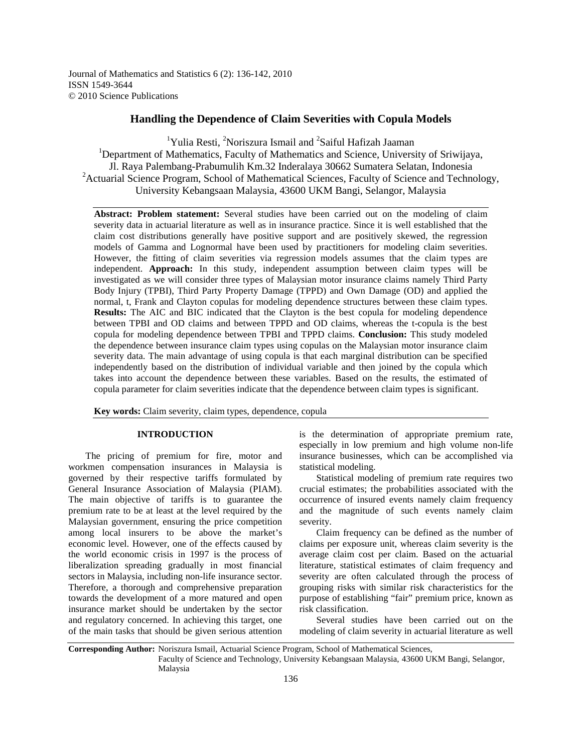Journal of Mathematics and Statistics 6 (2): 136-142, 2010 ISSN 1549-3644 © 2010 Science Publications

# **Handling the Dependence of Claim Severities with Copula Models**

<sup>1</sup>Yulia Resti, <sup>2</sup>Noriszura Ismail and <sup>2</sup>Saiful Hafizah Jaaman <sup>1</sup>Department of Mathematics, Faculty of Mathematics and Science, University of Sriwijaya, Jl. Raya Palembang-Prabumulih Km.32 Inderalaya 30662 Sumatera Selatan, Indonesia <sup>2</sup> Actuarial Science Program, School of Mathematical Sciences, Faculty of Science and Technology, University Kebangsaan Malaysia, 43600 UKM Bangi, Selangor, Malaysia

**Abstract: Problem statement:** Several studies have been carried out on the modeling of claim severity data in actuarial literature as well as in insurance practice. Since it is well established that the claim cost distributions generally have positive support and are positively skewed, the regression models of Gamma and Lognormal have been used by practitioners for modeling claim severities. However, the fitting of claim severities via regression models assumes that the claim types are independent. **Approach:** In this study, independent assumption between claim types will be investigated as we will consider three types of Malaysian motor insurance claims namely Third Party Body Injury (TPBI), Third Party Property Damage (TPPD) and Own Damage (OD) and applied the normal, t, Frank and Clayton copulas for modeling dependence structures between these claim types. **Results:** The AIC and BIC indicated that the Clayton is the best copula for modeling dependence between TPBI and OD claims and between TPPD and OD claims, whereas the t-copula is the best copula for modeling dependence between TPBI and TPPD claims. **Conclusion:** This study modeled the dependence between insurance claim types using copulas on the Malaysian motor insurance claim severity data. The main advantage of using copula is that each marginal distribution can be specified independently based on the distribution of individual variable and then joined by the copula which takes into account the dependence between these variables. Based on the results, the estimated of copula parameter for claim severities indicate that the dependence between claim types is significant.

**Key words:** Claim severity, claim types, dependence, copula

# **INTRODUCTION**

 The pricing of premium for fire, motor and workmen compensation insurances in Malaysia is governed by their respective tariffs formulated by General Insurance Association of Malaysia (PIAM). The main objective of tariffs is to guarantee the premium rate to be at least at the level required by the Malaysian government, ensuring the price competition among local insurers to be above the market's economic level. However, one of the effects caused by the world economic crisis in 1997 is the process of liberalization spreading gradually in most financial sectors in Malaysia, including non-life insurance sector. Therefore, a thorough and comprehensive preparation towards the development of a more matured and open insurance market should be undertaken by the sector and regulatory concerned. In achieving this target, one of the main tasks that should be given serious attention

is the determination of appropriate premium rate, especially in low premium and high volume non-life insurance businesses, which can be accomplished via statistical modeling.

 Statistical modeling of premium rate requires two crucial estimates; the probabilities associated with the occurrence of insured events namely claim frequency and the magnitude of such events namely claim severity.

 Claim frequency can be defined as the number of claims per exposure unit, whereas claim severity is the average claim cost per claim. Based on the actuarial literature, statistical estimates of claim frequency and severity are often calculated through the process of grouping risks with similar risk characteristics for the purpose of establishing "fair" premium price, known as risk classification.

 Several studies have been carried out on the modeling of claim severity in actuarial literature as well

**Corresponding Author:** Noriszura Ismail, Actuarial Science Program, School of Mathematical Sciences,

Faculty of Science and Technology, University Kebangsaan Malaysia, 43600 UKM Bangi, Selangor, Malaysia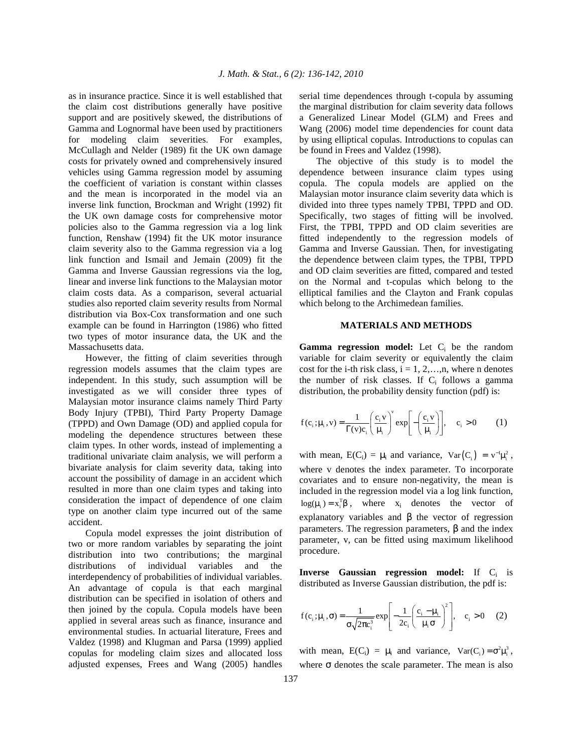as in insurance practice. Since it is well established that the claim cost distributions generally have positive support and are positively skewed, the distributions of Gamma and Lognormal have been used by practitioners for modeling claim severities. For examples, McCullagh and Nelder (1989) fit the UK own damage costs for privately owned and comprehensively insured vehicles using Gamma regression model by assuming the coefficient of variation is constant within classes and the mean is incorporated in the model via an inverse link function, Brockman and Wright (1992) fit the UK own damage costs for comprehensive motor policies also to the Gamma regression via a log link function, Renshaw (1994) fit the UK motor insurance claim severity also to the Gamma regression via a log link function and Ismail and Jemain (2009) fit the Gamma and Inverse Gaussian regressions via the log, linear and inverse link functions to the Malaysian motor claim costs data. As a comparison, several actuarial studies also reported claim severity results from Normal distribution via Box-Cox transformation and one such example can be found in Harrington (1986) who fitted two types of motor insurance data, the UK and the Massachusetts data.

 However, the fitting of claim severities through regression models assumes that the claim types are independent. In this study, such assumption will be investigated as we will consider three types of Malaysian motor insurance claims namely Third Party Body Injury (TPBI), Third Party Property Damage (TPPD) and Own Damage (OD) and applied copula for modeling the dependence structures between these claim types. In other words, instead of implementing a traditional univariate claim analysis, we will perform a bivariate analysis for claim severity data, taking into account the possibility of damage in an accident which resulted in more than one claim types and taking into consideration the impact of dependence of one claim type on another claim type incurred out of the same accident.

 Copula model expresses the joint distribution of two or more random variables by separating the joint distribution into two contributions; the marginal distributions of individual variables and the interdependency of probabilities of individual variables. An advantage of copula is that each marginal distribution can be specified in isolation of others and then joined by the copula. Copula models have been applied in several areas such as finance, insurance and environmental studies. In actuarial literature, Frees and Valdez (1998) and Klugman and Parsa (1999) applied copulas for modeling claim sizes and allocated loss adjusted expenses, Frees and Wang (2005) handles serial time dependences through t-copula by assuming the marginal distribution for claim severity data follows a Generalized Linear Model (GLM) and Frees and Wang (2006) model time dependencies for count data by using elliptical copulas. Introductions to copulas can be found in Frees and Valdez (1998).

 The objective of this study is to model the dependence between insurance claim types using copula. The copula models are applied on the Malaysian motor insurance claim severity data which is divided into three types namely TPBI, TPPD and OD. Specifically, two stages of fitting will be involved. First, the TPBI, TPPD and OD claim severities are fitted independently to the regression models of Gamma and Inverse Gaussian. Then, for investigating the dependence between claim types, the TPBI, TPPD and OD claim severities are fitted, compared and tested on the Normal and t-copulas which belong to the elliptical families and the Clayton and Frank copulas which belong to the Archimedean families.

## **MATERIALS AND METHODS**

Gamma regression model: Let C<sub>i</sub> be the random variable for claim severity or equivalently the claim cost for the *i*-th risk class,  $i = 1, 2, \ldots, n$ , where n denotes the number of risk classes. If  $C_i$  follows a gamma distribution, the probability density function (pdf) is:

$$
f(c_i; \mu_i, v) = \frac{1}{\Gamma(v)c_i} \left(\frac{c_i v}{\mu_i}\right)^v \exp\left[-\left(\frac{c_i v}{\mu_i}\right)\right], \quad c_i > 0 \tag{1}
$$

with mean,  $E(C_i) = \mu_i$  and variance,  $Var(C_i) = v^{-1}\mu_i^2$ , where v denotes the index parameter. To incorporate covariates and to ensure non-negativity, the mean is included in the regression model via a log link function,  $log(\mu_i) = x_i^T \beta$ , where  $x_i$  denotes the vector of explanatory variables and  $\beta$  the vector of regression parameters. The regression parameters, β and the index parameter, v, can be fitted using maximum likelihood procedure.

**Inverse Gaussian regression model:** If C<sub>i</sub> is distributed as Inverse Gaussian distribution, the pdf is:

$$
f(c_i; \mu_i, \sigma) = \frac{1}{\sigma \sqrt{2\pi c_i^3}} \exp\left[-\frac{1}{2c_i} \left(\frac{c_i - \mu_i}{\mu_i \sigma}\right)^2\right], \quad c_i > 0 \quad (2)
$$

with mean,  $E(C_i) = \mu_i$  and variance,  $Var(C_i) = \sigma^2 \mu_i^3$ , where  $\sigma$  denotes the scale parameter. The mean is also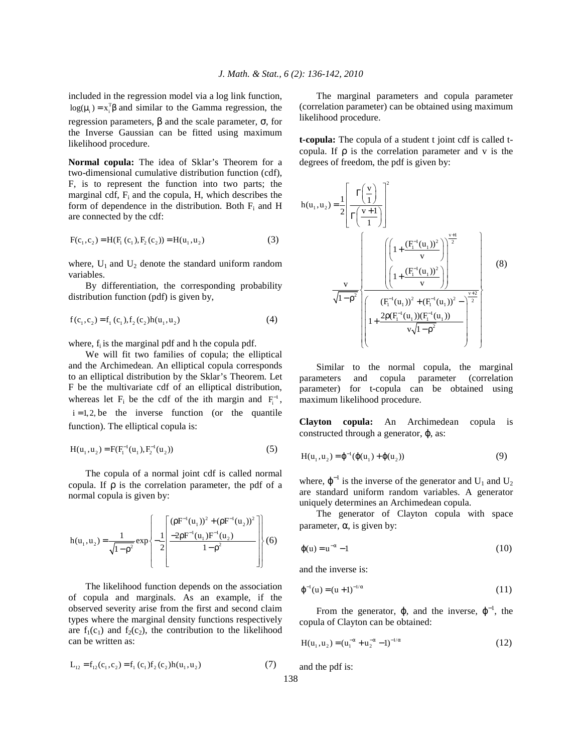included in the regression model via a log link function,  $log(\mu_i) = x_i^T \beta$  and similar to the Gamma regression, the regression parameters, β and the scale parameter, σ, for the Inverse Gaussian can be fitted using maximum likelihood procedure.

**Normal copula:** The idea of Sklar's Theorem for a two-dimensional cumulative distribution function (cdf), F, is to represent the function into two parts; the marginal cdf,  $F_i$  and the copula, H, which describes the form of dependence in the distribution. Both  $F_i$  and H are connected by the cdf:

$$
F(c_1, c_2) = H(F_1(c_1), F_2(c_2)) = H(u_1, u_2)
$$
\n(3)

where,  $U_1$  and  $U_2$  denote the standard uniform random variables.

 By differentiation, the corresponding probability distribution function (pdf) is given by,

$$
f(c_1, c_2) = f_1(c_1), f_2(c_2)h(u_1, u_2)
$$
 (4)

where,  $f_i$  is the marginal pdf and h the copula pdf.

 We will fit two families of copula; the elliptical and the Archimedean. An elliptical copula corresponds to an elliptical distribution by the Sklar's Theorem. Let F be the multivariate cdf of an elliptical distribution, whereas let  $F_i$  be the cdf of the ith margin and  $F_i^{-1}$ ,  $i = 1, 2$ , be the inverse function (or the quantile function). The elliptical copula is:

$$
H(u_1, u_2) = F(F_1^{-1}(u_1), F_2^{-1}(u_2))
$$
\n(5)

 The copula of a normal joint cdf is called normal copula. If ρ is the correlation parameter, the pdf of a normal copula is given by:

$$
h(u_1, u_2) = \frac{1}{\sqrt{1 - \rho^2}} exp \left\{ -\frac{1}{2} \left[ \frac{(\rho F^{-1}(u_1))^2 + (\rho F^{-1}(u_2))^2}{1 - \rho^2} \right] \right\}
$$
(6)

 The likelihood function depends on the association of copula and marginals. As an example, if the observed severity arise from the first and second claim types where the marginal density functions respectively are  $f_1(c_1)$  and  $f_2(c_2)$ , the contribution to the likelihood can be written as:

$$
L_{12} = f_{12}(c_1, c_2) = f_1(c_1) f_2(c_2) h(u_1, u_2)
$$
 (7)

 The marginal parameters and copula parameter (correlation parameter) can be obtained using maximum likelihood procedure.

**t-copula:** The copula of a student t joint cdf is called tcopula. If  $\rho$  is the correlation parameter and v is the degrees of freedom, the pdf is given by:

$$
h(u_1, u_2) = \frac{1}{2} \left[ \frac{\Gamma\left(\frac{v}{1}\right)}{\Gamma\left(\frac{v+1}{1}\right)} \right]^2
$$
  

$$
\frac{v}{\sqrt{1-\rho^2}} \left\{ \frac{\left(1 + \frac{(F_1^{-1}(u_1))^2}{v}\right)^{\frac{v+1}{2}}}{\left(1 + \frac{(F_1^{-1}(u_1))^2}{v}\right)} \right\}^{\frac{v+1}{2}}
$$
  

$$
1 + \frac{2\rho(F_1^{-1}(u_1))(F_1^{-1}(u_1))}{v\sqrt{1-\rho^2}} \right\}
$$
  
(8)

 Similar to the normal copula, the marginal parameters and copula parameter (correlation parameter) for t-copula can be obtained using maximum likelihood procedure.

**Clayton copula:** An Archimedean copula is constructed through a generator,  $\varphi$ , as:

$$
H(u_1, u_2) = \varphi^{-1}(\varphi(u_1) + \varphi(u_2))
$$
\n(9)

where,  $\varphi^{-1}$  is the inverse of the generator and U<sub>1</sub> and U<sub>2</sub> are standard uniform random variables. A generator uniquely determines an Archimedean copula.

 The generator of Clayton copula with space parameter, α, is given by:

$$
\varphi(u) = u^{-\alpha} - 1 \tag{10}
$$

and the inverse is:

$$
\varphi^{-1}(u) = (u+1)^{-1/\alpha} \tag{11}
$$

From the generator,  $\varphi$ , and the inverse,  $\varphi^{-1}$ , the copula of Clayton can be obtained:

$$
H(u_1, u_2) = (u_1^{-\alpha} + u_2^{-\alpha} - 1)^{-1/\alpha}
$$
 (12)

and the pdf is: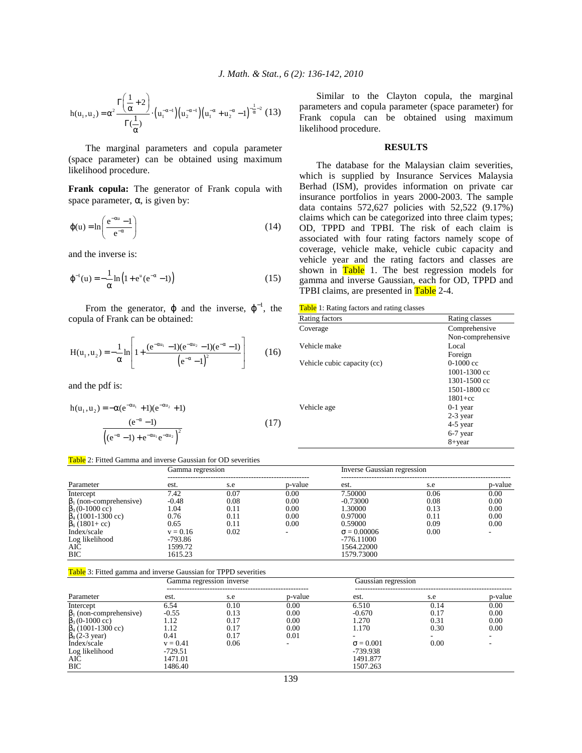$$
h(u_1, u_2) = \alpha^2 \frac{\Gamma\left(\frac{1}{\alpha} + 2\right)}{\Gamma\left(\frac{1}{\alpha}\right)} \cdot \left(u_1^{-\alpha - 1}\right) \left(u_2^{-\alpha - 1}\right) \left(u_1^{-\alpha} + u_2^{-\alpha} - 1\right)^{-\frac{1}{\alpha} - 2} (13)
$$

 The marginal parameters and copula parameter (space parameter) can be obtained using maximum likelihood procedure.

**Frank copula:** The generator of Frank copula with space parameter,  $\alpha$ , is given by:

$$
\varphi(u) = \ln\left(\frac{e^{-\alpha u} - 1}{e^{-\alpha}}\right) \tag{14}
$$

and the inverse is:

$$
\varphi^{-1}(u) = -\frac{1}{\alpha} \ln (1 + e^{u} (e^{-\alpha} - 1))
$$
\n(15)

From the generator,  $\varphi$  and the inverse,  $\varphi^{-1}$ , the copula of Frank can be obtained:

$$
H(u_1, u_2) = -\frac{1}{\alpha} \ln \left[ 1 + \frac{(e^{-\alpha u_1} - 1)(e^{-\alpha u_2} - 1)(e^{-\alpha} - 1)}{(e^{-\alpha} - 1)^2} \right] \tag{16}
$$

and the pdf is:

$$
h(u_1, u_2) = -\alpha (e^{-\alpha u_1} + 1)(e^{-\alpha u_2} + 1)
$$
  

$$
\frac{(e^{-\alpha} - 1)}{\left((e^{-\alpha} - 1) + e^{-\alpha u_1} e^{-\alpha u_2}\right)^2}
$$
 (17)

# Table 2: Fitted Gamma and inverse Gaussian for OD severities

 Similar to the Clayton copula, the marginal parameters and copula parameter (space parameter) for Frank copula can be obtained using maximum likelihood procedure.

## **RESULTS**

 The database for the Malaysian claim severities, which is supplied by Insurance Services Malaysia Berhad (ISM), provides information on private car insurance portfolios in years 2000-2003. The sample data contains 572,627 policies with 52,522 (9.17%) claims which can be categorized into three claim types; OD, TPPD and TPBI. The risk of each claim is associated with four rating factors namely scope of coverage, vehicle make, vehicle cubic capacity and vehicle year and the rating factors and classes are shown in Table 1. The best regression models for gamma and inverse Gaussian, each for OD, TPPD and TPBI claims, are presented in Table 2-4.

|  | <b>Table</b> 1: Rating factors and rating classes |  |  |  |  |
|--|---------------------------------------------------|--|--|--|--|
|--|---------------------------------------------------|--|--|--|--|

| <b>Rable</b> 1. INDING RECOLS and rating enables |                   |
|--------------------------------------------------|-------------------|
| Rating factors                                   | Rating classes    |
| Coverage                                         | Comprehensive     |
|                                                  | Non-comprehensive |
| Vehicle make                                     | Local             |
|                                                  | Foreign           |
| Vehicle cubic capacity (cc)                      | $0-1000$ cc       |
|                                                  | 1001-1300 cc      |
|                                                  | 1301-1500 cc      |
|                                                  | 1501-1800 cc      |
|                                                  | $1801 + cc$       |
| Vehicle age                                      | $0-1$ year        |
|                                                  | $2-3$ year        |
|                                                  | 4-5 year          |
|                                                  | 6-7 year          |
|                                                  | 8+year            |
|                                                  |                   |

|                               | Gamma regression |      |         | Inverse Gaussian regression |      |         |
|-------------------------------|------------------|------|---------|-----------------------------|------|---------|
| Parameter                     | est.             | s.e  | p-value | est.                        | s.e  | p-value |
| Intercept                     | 7.42             | 0.07 | 0.00    | 7.50000                     | 0.06 | 0.00    |
| $\beta_1$ (non-comprehensive) | $-0.48$          | 0.08 | 0.00    | $-0.73000$                  | 0.08 | 0.00    |
| $\beta_3$ (0-1000 cc)         | l.04             | 0.11 | 0.00    | 1.30000                     | 0.13 | 0.00    |
| $\beta_4$ (1001-1300 cc)      | 0.76             | 0.11 | 0.00    | 0.97000                     | 0.11 | 0.00    |
| $\beta_6(1801 + cc)$          | 0.65             | 0.11 | 0.00    | 0.59000                     | 0.09 | 0.00    |
| Index/scale                   | $v = 0.16$       | 0.02 |         | $\sigma = 0.00006$          | 0.00 |         |
| Log likelihood                | $-793.86$        |      |         | $-776.11000$                |      |         |
| AIC                           | 1599.72          |      |         | 1564.22000                  |      |         |
| <b>BIC</b>                    | 1615.23          |      |         | 1579.73000                  |      |         |

### Table 3: Fitted gamma and inverse Gaussian for TPPD severities

|                               |            | Gamma regression inverse |         | Gaussian regression |      |         |
|-------------------------------|------------|--------------------------|---------|---------------------|------|---------|
| Parameter                     | est.       | s.e                      | p-value | est.                | s.e  | p-value |
| Intercept                     | 6.54       | 0.10                     | 0.00    | 6.510               | 0.14 | 0.00    |
| $\beta_1$ (non-comprehensive) | $-0.55$    | 0.13                     | 0.00    | $-0.670$            | 0.17 | 0.00    |
| $\beta_3(0-1000 \text{ cc})$  | l.12       | 0.17                     | 0.00    | 1.270               | 0.31 | 0.00    |
| $\beta_4$ (1001-1300 cc)      | 1.12       | 0.17                     | 0.00    | 1.170               | 0.30 | 0.00    |
| $\beta_8$ (2-3 year)          | 0.41       | 0.17                     | 0.01    |                     |      |         |
| Index/scale                   | $v = 0.41$ | 0.06                     |         | $\sigma = 0.001$    | 0.00 |         |
| Log likelihood                | $-729.51$  |                          |         | -739.938            |      |         |
| AIC                           | 1471.01    |                          |         | 1491.877            |      |         |
| <b>BIC</b>                    | 1486.40    |                          |         | 1507.263            |      |         |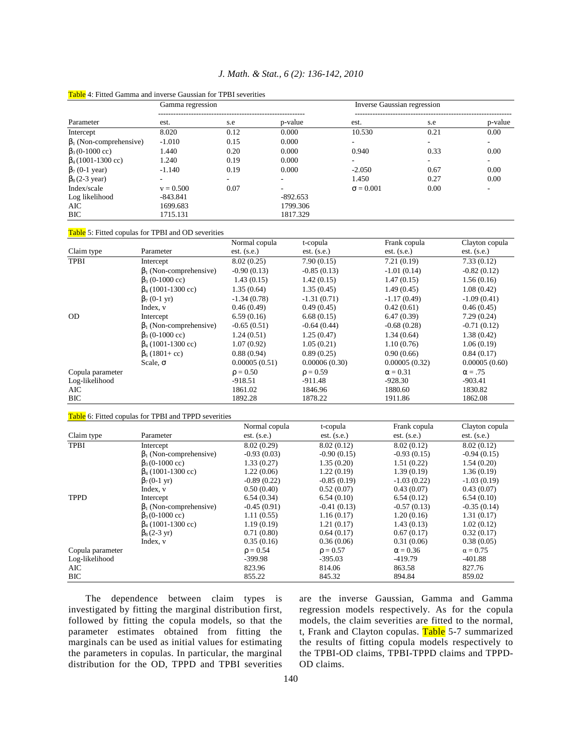|                                 | Table 4: Fitted Gamma and inverse Gaussian for TPBI severities |                              |                                |                             |                                                                      |                             |  |
|---------------------------------|----------------------------------------------------------------|------------------------------|--------------------------------|-----------------------------|----------------------------------------------------------------------|-----------------------------|--|
|                                 | Gamma regression                                               |                              |                                |                             | Inverse Gaussian regression<br>. _ _ _ _ _ _ _ _ _ _ _ _ _ _ _ _ _ _ |                             |  |
| Parameter                       | est.                                                           | s.e                          | p-value                        | est.                        | s.e                                                                  | p-value                     |  |
| Intercept                       | 8.020                                                          | 0.12                         | 0.000                          | 10.530                      | 0.21                                                                 | 0.00                        |  |
| $\beta_1$ (Non-comprehensive)   | $-1.010$                                                       | 0.15                         | 0.000                          |                             |                                                                      |                             |  |
| $\beta_3$ (0-1000 cc)           | 1.440                                                          | 0.20                         | 0.000                          | 0.940                       | 0.33                                                                 | 0.00                        |  |
| $\beta_4(1001-1300 \text{ cc})$ | 1.240                                                          | 0.19                         | 0.000                          |                             |                                                                      |                             |  |
| $\beta_7$ (0-1 year)            | $-1.140$                                                       | 0.19                         | 0.000                          | $-2.050$                    | 0.67                                                                 | 0.00                        |  |
| $\beta_8$ (2-3 year)            | $\overline{\phantom{0}}$                                       |                              | $\overline{\phantom{a}}$       | 1.450                       | 0.27                                                                 | 0.00                        |  |
| Index/scale                     | $v = 0.500$                                                    | 0.07                         |                                | $\sigma = 0.001$            | 0.00                                                                 |                             |  |
| Log likelihood                  | $-843.841$                                                     |                              | $-892.653$                     |                             |                                                                      |                             |  |
| AIC                             | 1699.683                                                       |                              | 1799.306                       |                             |                                                                      |                             |  |
| <b>BIC</b>                      | 1715.131                                                       |                              | 1817.329                       |                             |                                                                      |                             |  |
|                                 | Table 5: Fitted copulas for TPBI and OD severities             |                              |                                |                             |                                                                      |                             |  |
|                                 |                                                                | Normal copula                | t-copula                       |                             | Frank copula                                                         | Clayton copula              |  |
| Claim type                      | Parameter                                                      | $est.$ (s.e.)                | $est.$ (s.e.)                  |                             | est. (s.e.)                                                          | est. (s.e.)                 |  |
| <b>TPBI</b>                     | Intercept                                                      | 8.02(0.25)                   | 7.90(0.15)                     |                             | 7.21(0.19)                                                           | 7.33(0.12)                  |  |
|                                 | $\beta_1$ (Non-comprehensive)                                  | $-0.90(0.13)$                | $-0.85(0.13)$                  |                             | $-1.01(0.14)$                                                        | $-0.82(0.12)$               |  |
|                                 | $\beta_3$ (0-1000 cc)                                          | 1.43(0.15)                   | 1.42(0.15)                     |                             | 1.47(0.15)                                                           | 1.56(0.16)                  |  |
|                                 | $\beta_4$ (1001-1300 cc)                                       | 1.35(0.64)                   | 1.35(0.45)                     |                             | 1.49(0.45)                                                           | 1.08(0.42)                  |  |
|                                 | $\beta$ <sub>7</sub> (0-1 yr)                                  | $-1.34(0.78)$                | $-1.31(0.71)$                  |                             | $-1.17(0.49)$                                                        | $-1.09(0.41)$               |  |
|                                 | Index, v                                                       | 0.46(0.49)                   | 0.49(0.45)                     |                             | 0.42(0.61)                                                           | 0.46(0.45)                  |  |
| <b>OD</b>                       | Intercept                                                      | 6.59(0.16)                   | 6.68(0.15)                     |                             | 6.47(0.39)                                                           | 7.29(0.24)                  |  |
|                                 | $\beta_1$ (Non-comprehensive)                                  | $-0.65(0.51)$                | $-0.64(0.44)$                  |                             | $-0.68(0.28)$                                                        | $-0.71(0.12)$               |  |
|                                 | $\beta_3$ (0-1000 cc)                                          | 1.24(0.51)                   | 1.25(0.47)                     |                             | 1.34(0.64)                                                           | 1.38(0.42)                  |  |
|                                 | $\beta_4$ (1001-1300 cc)                                       | 1.07(0.92)                   | 1.05(0.21)                     |                             | 1.10(0.76)                                                           | 1.06(0.19)                  |  |
|                                 | $\beta_6$ (1801+ cc)                                           | 0.88(0.94)                   | 0.89(0.25)                     |                             | 0.90(0.66)                                                           | 0.84(0.17)                  |  |
|                                 | Scale, $\sigma$                                                | 0.00005(0.51)                | 0.00006(0.30)<br>0.00005(0.32) |                             |                                                                      | 0.00005(0.60)               |  |
| Copula parameter                |                                                                | $\rho = 0.50$                | $\rho = 0.59$                  |                             | $\alpha = 0.31$                                                      | $\alpha = .75$              |  |
| Log-likelihood                  |                                                                | $-918.51$                    | $-911.48$                      |                             | $-928.30$                                                            | $-903.41$                   |  |
| AIC                             |                                                                | 1861.02<br>1892.28           | 1846.96                        |                             | 1880.60                                                              | 1830.82                     |  |
| <b>BIC</b>                      |                                                                |                              | 1878.22                        |                             | 1911.86                                                              | 1862.08                     |  |
|                                 | Table 6: Fitted copulas for TPBI and TPPD severities           |                              |                                |                             |                                                                      |                             |  |
|                                 |                                                                | Normal copula                |                                | t-copula                    | Frank copula                                                         | Clayton copula              |  |
| Claim type                      | Parameter                                                      | est. (s.e.)                  |                                | est. (s.e.)                 | $est.$ (s.e.)                                                        | est. (s.e.)                 |  |
| <b>TPBI</b>                     | Intercept                                                      | 8.02 (0.29)                  |                                | 8.02 (0.12)                 | 8.02(0.12)                                                           | 8.02(0.12)                  |  |
|                                 | $\beta_1$ (Non-comprehensive)                                  | $-0.93(0.03)$                |                                | $-0.90(0.15)$               | $-0.93(0.15)$                                                        | $-0.94(0.15)$               |  |
|                                 | $\beta_3$ (0-1000 cc)                                          | 1.33(0.27)                   |                                | 1.35(0.20)                  | 1.51(0.22)                                                           | 1.54(0.20)                  |  |
|                                 | $\beta$ <sub>4</sub> (1001-1300 cc)                            | 1.22(0.06)                   |                                | 1.22(0.19)                  | 1.39(0.19)                                                           | 1.36(0.19)                  |  |
|                                 | $\beta_7(0-1 \text{ yr})$                                      | $-0.89(0.22)$                |                                | $-0.85(0.19)$               | $-1.03(0.22)$                                                        | $-1.03(0.19)$               |  |
|                                 | Index, v                                                       | 0.50(0.40)                   |                                | 0.52(0.07)                  | 0.43(0.07)                                                           | 0.43(0.07)                  |  |
| <b>TPPD</b>                     | Intercept<br>$\beta_1$ (Non-comprehensive)                     | 6.54 (0.34)<br>$-0.45(0.91)$ |                                | 6.54(0.10)<br>$-0.41(0.13)$ | 6.54(0.12)<br>$-0.57(0.13)$                                          | 6.54(0.10)<br>$-0.35(0.14)$ |  |
|                                 | $\beta_3$ (0-1000 cc)                                          | 1.11(0.55)                   |                                | 1.16(0.17)                  | 1.20(0.16)                                                           | 1.31(0.17)                  |  |
|                                 | $\beta_4$ (1001-1300 cc)                                       | 1.19(0.19)                   |                                | 1.21(0.17)                  | 1.43(0.13)                                                           | 1.02(0.12)                  |  |
|                                 | $\beta_8$ (2-3 yr)                                             | 0.71(0.80)                   |                                | 0.64(0.17)                  | 0.67(0.17)                                                           | 0.32(0.17)                  |  |
|                                 | Index, v                                                       | 0.35(0.16)                   |                                | 0.36(0.06)                  | 0.31(0.06)                                                           | 0.38(0.05)                  |  |
| Copula parameter                |                                                                | $\rho = 0.54$                |                                | $\rho = 0.57$               | $\alpha = 0.36$                                                      | $\alpha = 0.75$             |  |
| Log-likelihood                  |                                                                | -399.98                      | $-395.03$                      |                             | -419.79                                                              | $-401.88$                   |  |
| AIC                             |                                                                | 823.96                       | 814.06                         |                             | 863.58                                                               | 827.76                      |  |
| <b>BIC</b>                      |                                                                | 855.22                       | 845.32                         |                             | 894.84                                                               | 859.02                      |  |
|                                 |                                                                |                              |                                |                             |                                                                      |                             |  |

# *J. Math. & Stat., 6 (2): 136-142, 2010*

 The dependence between claim types is investigated by fitting the marginal distribution first, followed by fitting the copula models, so that the parameter estimates obtained from fitting the marginals can be used as initial values for estimating the parameters in copulas. In particular, the marginal distribution for the OD, TPPD and TPBI severities

are the inverse Gaussian, Gamma and Gamma regression models respectively. As for the copula models, the claim severities are fitted to the normal, t, Frank and Clayton copulas. Table 5-7 summarized the results of fitting copula models respectively to the TPBI-OD claims, TPBI-TPPD claims and TPPD-OD claims.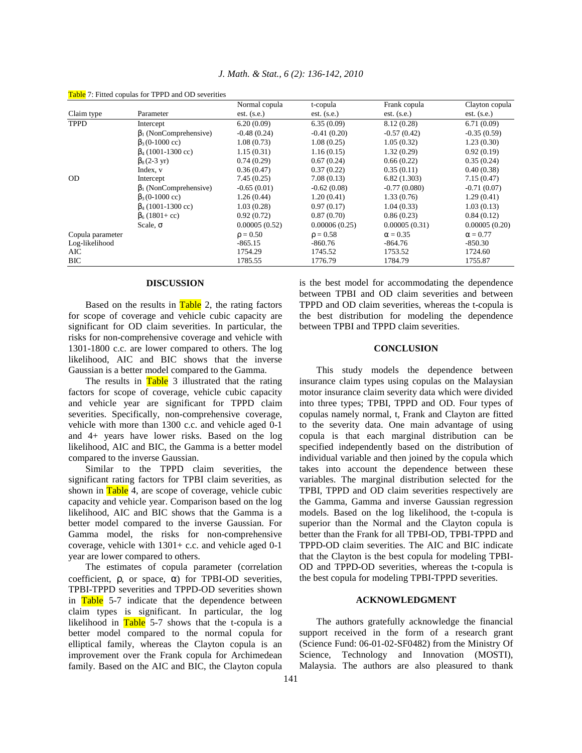|                  |                              | Normal copula | t-copula      | Frank copula    | Clayton copula  |
|------------------|------------------------------|---------------|---------------|-----------------|-----------------|
| Claim type       | Parameter                    | $est.$ (s.e.) | $est.$ (s.e.) | $est.$ (s.e.)   | $est.$ (s.e.)   |
| <b>TPPD</b>      | Intercept                    | 6.20(0.09)    | 6.35(0.09)    | 8.12 (0.28)     | 6.71(0.09)      |
|                  | $\beta_1$ (NonComprehensive) | $-0.48(0.24)$ | $-0.41(0.20)$ | $-0.57(0.42)$   | $-0.35(0.59)$   |
|                  | $\beta_3(0-1000 \text{ cc})$ | 1.08(0.73)    | 1.08(0.25)    | 1.05(0.32)      | 1.23(0.30)      |
|                  | $\beta_4$ (1001-1300 cc)     | 1.15(0.31)    | 1.16(0.15)    | 1.32(0.29)      | 0.92(0.19)      |
|                  | $\beta_8(2-3 \text{ yr})$    | 0.74(0.29)    | 0.67(0.24)    | 0.66(0.22)      | 0.35(0.24)      |
|                  | Index, v                     | 0.36(0.47)    | 0.37(0.22)    | 0.35(0.11)      | 0.40(0.38)      |
| <b>OD</b>        | Intercept                    | 7.45(0.25)    | 7.08(0.13)    | 6.82(1.303)     | 7.15(0.47)      |
|                  | $\beta_1$ (NonComprehensive) | $-0.65(0.01)$ | $-0.62(0.08)$ | $-0.77(0.080)$  | $-0.71(0.07)$   |
|                  | $\beta_3(0-1000 \text{ cc})$ | 1.26(0.44)    | 1.20(0.41)    | 1.33(0.76)      | 1.29(0.41)      |
|                  | $\beta_4$ (1001-1300 cc)     | 1.03(0.28)    | 0.97(0.17)    | 1.04(0.33)      | 1.03(0.13)      |
|                  | $\beta_6(1801 + cc)$         | 0.92(0.72)    | 0.87(0.70)    | 0.86(0.23)      | 0.84(0.12)      |
|                  | Scale, $\sigma$              | 0.00005(0.52) | 0.00006(0.25) | 0.00005(0.31)   | 0.00005(0.20)   |
| Copula parameter |                              | $\rho = 0.50$ | $\rho = 0.58$ | $\alpha = 0.35$ | $\alpha = 0.77$ |
| Log-likelihood   |                              | $-865.15$     | $-860.76$     | $-864.76$       | $-850.30$       |
| AIC              |                              | 1754.29       | 1745.52       | 1753.52         | 1724.60         |
| <b>BIC</b>       |                              | 1785.55       | 1776.79       | 1784.79         | 1755.87         |

Table 7: Fitted copulas for TPPD and OD severities

#### **DISCUSSION**

Based on the results in  $Table 2$ , the rating factors for scope of coverage and vehicle cubic capacity are significant for OD claim severities. In particular, the risks for non-comprehensive coverage and vehicle with 1301-1800 c.c. are lower compared to others. The log likelihood, AIC and BIC shows that the inverse Gaussian is a better model compared to the Gamma.

The results in Table 3 illustrated that the rating factors for scope of coverage, vehicle cubic capacity and vehicle year are significant for TPPD claim severities. Specifically, non-comprehensive coverage, vehicle with more than 1300 c.c. and vehicle aged 0-1 and 4+ years have lower risks. Based on the log likelihood, AIC and BIC, the Gamma is a better model compared to the inverse Gaussian.

 Similar to the TPPD claim severities, the significant rating factors for TPBI claim severities, as shown in  $Table 4$ , are scope of coverage, vehicle cubic capacity and vehicle year. Comparison based on the log likelihood, AIC and BIC shows that the Gamma is a better model compared to the inverse Gaussian. For Gamma model, the risks for non-comprehensive coverage, vehicle with 1301+ c.c. and vehicle aged 0-1 year are lower compared to others.

 The estimates of copula parameter (correlation coefficient,  $\rho$ , or space,  $\alpha$ ) for TPBI-OD severities, TPBI-TPPD severities and TPPD-OD severities shown in Table 5-7 indicate that the dependence between claim types is significant. In particular, the log likelihood in  $Table 5-7$  shows that the t-copula is a better model compared to the normal copula for elliptical family, whereas the Clayton copula is an improvement over the Frank copula for Archimedean family. Based on the AIC and BIC, the Clayton copula is the best model for accommodating the dependence between TPBI and OD claim severities and between TPPD and OD claim severities, whereas the t-copula is the best distribution for modeling the dependence between TPBI and TPPD claim severities.

#### **CONCLUSION**

 This study models the dependence between insurance claim types using copulas on the Malaysian motor insurance claim severity data which were divided into three types; TPBI, TPPD and OD. Four types of copulas namely normal, t, Frank and Clayton are fitted to the severity data. One main advantage of using copula is that each marginal distribution can be specified independently based on the distribution of individual variable and then joined by the copula which takes into account the dependence between these variables. The marginal distribution selected for the TPBI, TPPD and OD claim severities respectively are the Gamma, Gamma and inverse Gaussian regression models. Based on the log likelihood, the t-copula is superior than the Normal and the Clayton copula is better than the Frank for all TPBI-OD, TPBI-TPPD and TPPD-OD claim severities. The AIC and BIC indicate that the Clayton is the best copula for modeling TPBI-OD and TPPD-OD severities, whereas the t-copula is the best copula for modeling TPBI-TPPD severities.

## **ACKNOWLEDGMENT**

 The authors gratefully acknowledge the financial support received in the form of a research grant (Science Fund: 06-01-02-SF0482) from the Ministry Of Science, Technology and Innovation (MOSTI), Malaysia. The authors are also pleasured to thank